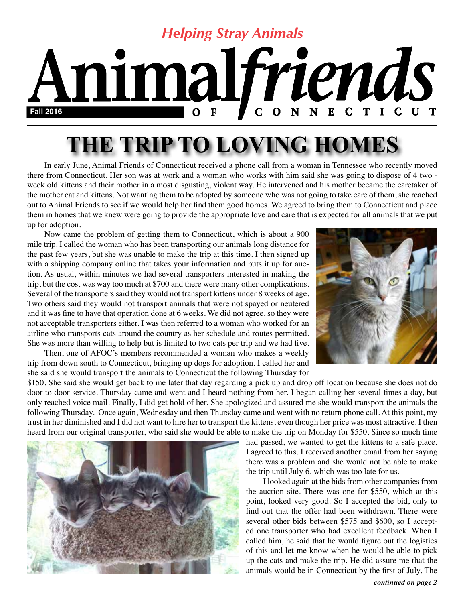#### *Helping Stray Animals* nimalfriends N N E C TICUT  $\mathbf C$  $\mathbf 0$ **Fall 2016**  $\mathbf 0$

# **THE TRIP TO LOVING HOMES**

In early June, Animal Friends of Connecticut received a phone call from a woman in Tennessee who recently moved there from Connecticut. Her son was at work and a woman who works with him said she was going to dispose of 4 two week old kittens and their mother in a most disgusting, violent way. He intervened and his mother became the caretaker of the mother cat and kittens. Not wanting them to be adopted by someone who was not going to take care of them, she reached out to Animal Friends to see if we would help her find them good homes. We agreed to bring them to Connecticut and place them in homes that we knew were going to provide the appropriate love and care that is expected for all animals that we put up for adoption.

Now came the problem of getting them to Connecticut, which is about a 900 mile trip. I called the woman who has been transporting our animals long distance for the past few years, but she was unable to make the trip at this time. I then signed up with a shipping company online that takes your information and puts it up for auction. As usual, within minutes we had several transporters interested in making the trip, but the cost was way too much at \$700 and there were many other complications. Several of the transporters said they would not transport kittens under 8 weeks of age. Two others said they would not transport animals that were not spayed or neutered and it was fine to have that operation done at 6 weeks. We did not agree, so they were not acceptable transporters either. I was then referred to a woman who worked for an airline who transports cats around the country as her schedule and routes permitted. She was more than willing to help but is limited to two cats per trip and we had five.

Then, one of AFOC's members recommended a woman who makes a weekly trip from down south to Connecticut, bringing up dogs for adoption. I called her and she said she would transport the animals to Connecticut the following Thursday for



\$150. She said she would get back to me later that day regarding a pick up and drop off location because she does not do door to door service. Thursday came and went and I heard nothing from her. I began calling her several times a day, but only reached voice mail. Finally, I did get hold of her. She apologized and assured me she would transport the animals the following Thursday. Once again, Wednesday and then Thursday came and went with no return phone call. At this point, my trust in her diminished and I did not want to hire her to transport the kittens, even though her price was most attractive. I then heard from our original transporter, who said she would be able to make the trip on Monday for \$550. Since so much time



had passed, we wanted to get the kittens to a safe place. I agreed to this. I received another email from her saying there was a problem and she would not be able to make the trip until July 6, which was too late for us.

I looked again at the bids from other companies from the auction site. There was one for \$550, which at this point, looked very good. So I accepted the bid, only to find out that the offer had been withdrawn. There were several other bids between \$575 and \$600, so I accepted one transporter who had excellent feedback. When I called him, he said that he would figure out the logistics of this and let me know when he would be able to pick up the cats and make the trip. He did assure me that the animals would be in Connecticut by the first of July. The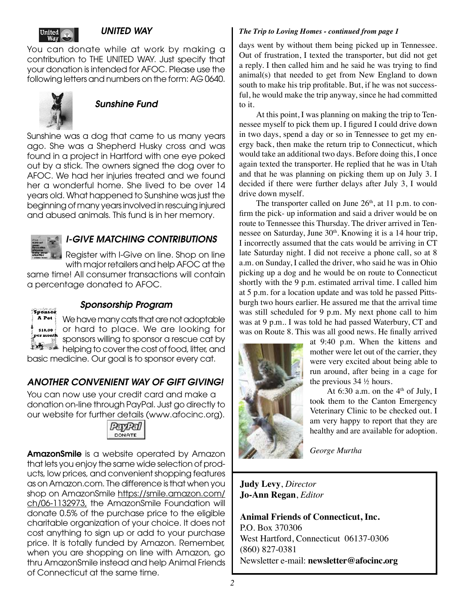

#### *UNITED WAY*

You can donate while at work by making a contribution to THE UNITED WAY. Just specify that your donation is intended for AFOC. Please use the following letters and numbers on the form: AG 0640.



#### *Sunshine Fund*

Sunshine was a dog that came to us many years ago. She was a Shepherd Husky cross and was found in a project in Hartford with one eye poked out by a stick. The owners signed the dog over to AFOC. We had her injuries treated and we found her a wonderful home. She lived to be over 14 years old. What happened to Sunshine was just the beginning of many years involved in rescuing injured and abused animals. This fund is in her memory.



#### *I-GIVE MATCHING CONTRIBUTIONS*

Register with I-Give on line. Shop on line

with major retailers and help AFOC at the same time! All consumer transactions will contain a percentage donated to AFOC.



#### *Sponsorship Program*

We have many cats that are not adoptable or hard to place. We are looking for sponsors willing to sponsor a rescue cat by helping to cover the cost of food, litter, and

basic medicine. Our goal is to sponsor every cat.

#### *ANOTHER CONVENIENT WAY OF GIFT GIVING!*

You can now use your credit card and make a donation on-line through PayPal. Just go directly to our website for further details (www.afocinc.org).



AmazonSmile is a website operated by Amazon that lets you enjoy the same wide selection of products, low prices, and convenient shopping features as on Amazon.com. The difference is that when you shop on AmazonSmile https://smile.amazon.com/ ch/06-1132973, the AmazonSmile Foundation will donate 0.5% of the purchase price to the eligible charitable organization of your choice. It does not cost anything to sign up or add to your purchase price. It is totally funded by Amazon. Remember, when you are shopping on line with Amazon, go thru AmazonSmile instead and help Animal Friends of Connecticut at the same time.

#### *The Trip to Loving Homes - continued from page 1*

days went by without them being picked up in Tennessee. Out of frustration, I texted the transporter, but did not get a reply. I then called him and he said he was trying to find animal(s) that needed to get from New England to down south to make his trip profitable. But, if he was not successful, he would make the trip anyway, since he had committed to it.

At this point, I was planning on making the trip to Tennessee myself to pick them up. I figured I could drive down in two days, spend a day or so in Tennessee to get my energy back, then make the return trip to Connecticut, which would take an additional two days. Before doing this, I once again texted the transporter. He replied that he was in Utah and that he was planning on picking them up on July 3. I decided if there were further delays after July 3, I would drive down myself.

The transporter called on June  $26<sup>th</sup>$ , at 11 p.m. to confirm the pick- up information and said a driver would be on route to Tennessee this Thursday. The driver arrived in Tennessee on Saturday, June 30<sup>th</sup>. Knowing it is a 14 hour trip, I incorrectly assumed that the cats would be arriving in CT late Saturday night. I did not receive a phone call, so at 8 a.m. on Sunday, I called the driver, who said he was in Ohio picking up a dog and he would be on route to Connecticut shortly with the 9 p.m. estimated arrival time. I called him at 5 p.m. for a location update and was told he passed Pittsburgh two hours earlier. He assured me that the arrival time was still scheduled for 9 p.m. My next phone call to him was at 9 p.m.. I was told he had passed Waterbury, CT and was on Route 8. This was all good news. He finally arrived



at 9:40 p.m. When the kittens and mother were let out of the carrier, they were very excited about being able to run around, after being in a cage for the previous 34 ½ hours.

At 6:30 a.m. on the  $4<sup>th</sup>$  of July, I took them to the Canton Emergency Veterinary Clinic to be checked out. I am very happy to report that they are healthy and are available for adoption.

*George Murtha*

#### **Judy Levy**, *Director* **Jo-Ann Regan**, *Editor*

**Animal Friends of Connecticut, Inc.** P.O. Box 370306 West Hartford, Connecticut 06137-0306 (860) 827-0381 Newsletter e-mail: **newsletter@afocinc.org**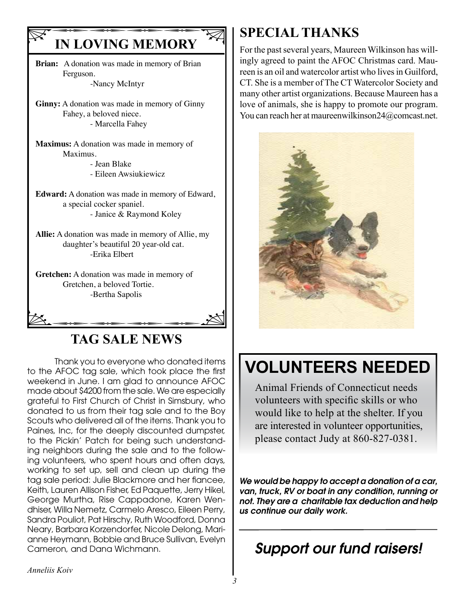# **IN LOVING MEMORY**

**Brian:** A donation was made in memory of Brian Ferguson. -Nancy McIntyr

**Ginny:** A donation was made in memory of Ginny Fahey, a beloved niece. - Marcella Fahey

**Maximus:** A donation was made in memory of Maximus.

 - Jean Blake - Eileen Awsiukiewicz

**Edward:** A donation was made in memory of Edward, a special cocker spaniel. - Janice & Raymond Koley

**Allie:** A donation was made in memory of Allie, my daughter's beautiful 20 year-old cat. -Erika Elbert

 $B$ ertha Sapolis **Gretchen:** A donation was made in memory of Gretchen, a beloved Tortie. -Bertha Sapolis

# **TAG SALE NEWS**

Thank you to everyone who donated items to the AFOC tag sale, which took place the first weekend in June. I am glad to announce AFOC made about \$4200 from the sale. We are especially grateful to First Church of Christ in Simsbury, who donated to us from their tag sale and to the Boy Scouts who delivered all of the items. Thank you to Paines, Inc, for the deeply discounted dumpster, to the Pickin' Patch for being such understanding neighbors during the sale and to the following volunteers, who spent hours and often days, working to set up, sell and clean up during the tag sale period: Julie Blackmore and her fiancee, Keith, Lauren Allison Fisher, Ed Paquette, Jerry Hikel, George Murtha, Rise Cappadone, Karen Wendhiser, Willa Nemetz, Carmelo Aresco, Eileen Perry, Sandra Pouliot, Pat Hirschy, Ruth Woodford, Donna Neary, Barbara Korzendorfer, Nicole Delong, Marianne Heymann, Bobbie and Bruce Sullivan, Evelyn Cameron, and Dana Wichmann.

# **SPECIAL THANKS**

For the past several years, Maureen Wilkinson has willingly agreed to paint the AFOC Christmas card. Maureen is an oil and watercolor artist who lives in Guilford, CT. She is a member of The CT Watercolor Society and many other artist organizations. Because Maureen has a love of animals, she is happy to promote our program. You can reach her at maureenwilkinson24@comcast.net.



# **VOLUNTEERS NEEDED**

Animal Friends of Connecticut needs volunteers with specific skills or who would like to help at the shelter. If you are interested in volunteer opportunities, please contact Judy at 860-827-0381.

*We would be happy to accept a donation of a car, van, truck, RV or boat in any condition, running or not. They are a charitable tax deduction and help us continue our daily work.*

# *Support our fund raisers!*

*Anneliis Koiv*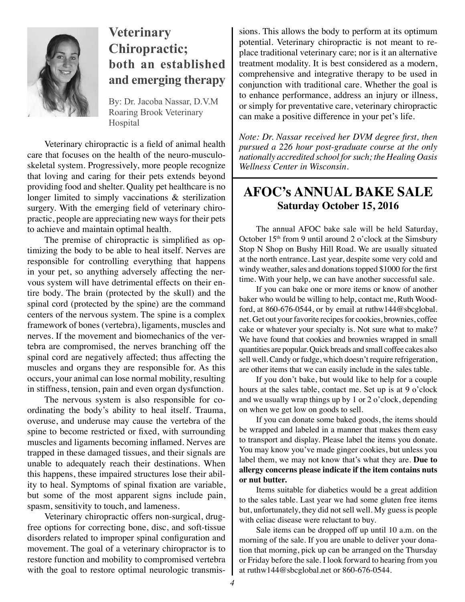

# **Veterinary Chiropractic; both an established and emerging therapy**

By: Dr. Jacoba Nassar, D.V.M Roaring Brook Veterinary Hospital

Veterinary chiropractic is a field of animal health care that focuses on the health of the neuro-musculoskeletal system. Progressively, more people recognize that loving and caring for their pets extends beyond providing food and shelter. Quality pet healthcare is no longer limited to simply vaccinations & sterilization surgery. With the emerging field of veterinary chiropractic, people are appreciating new ways for their pets to achieve and maintain optimal health.

The premise of chiropractic is simplified as optimizing the body to be able to heal itself. Nerves are responsible for controlling everything that happens in your pet, so anything adversely affecting the nervous system will have detrimental effects on their entire body. The brain (protected by the skull) and the spinal cord (protected by the spine) are the command centers of the nervous system. The spine is a complex framework of bones (vertebra), ligaments, muscles and nerves. If the movement and biomechanics of the vertebra are compromised, the nerves branching off the spinal cord are negatively affected; thus affecting the muscles and organs they are responsible for. As this occurs, your animal can lose normal mobility, resulting in stiffness, tension, pain and even organ dysfunction.

The nervous system is also responsible for coordinating the body's ability to heal itself. Trauma, overuse, and underuse may cause the vertebra of the spine to become restricted or fixed, with surrounding muscles and ligaments becoming inflamed. Nerves are trapped in these damaged tissues, and their signals are unable to adequately reach their destinations. When this happens, these impaired structures lose their ability to heal. Symptoms of spinal fixation are variable, but some of the most apparent signs include pain, spasm, sensitivity to touch, and lameness.

Veterinary chiropractic offers non-surgical, drugfree options for correcting bone, disc, and soft-tissue disorders related to improper spinal configuration and movement. The goal of a veterinary chiropractor is to restore function and mobility to compromised vertebra with the goal to restore optimal neurologic transmissions. This allows the body to perform at its optimum potential. Veterinary chiropractic is not meant to replace traditional veterinary care; nor is it an alternative treatment modality. It is best considered as a modern, comprehensive and integrative therapy to be used in conjunction with traditional care. Whether the goal is to enhance performance, address an injury or illness, or simply for preventative care, veterinary chiropractic can make a positive difference in your pet's life.

*Note: Dr. Nassar received her DVM degree first, then pursued a 226 hour post-graduate course at the only nationally accredited school for such; the Healing Oasis Wellness Center in Wisconsin.*

## **AFOC's ANNUAL BAKE SALE Saturday October 15, 2016**

The annual AFOC bake sale will be held Saturday, October  $15<sup>th</sup>$  from 9 until around 2 o'clock at the Simsbury Stop N Shop on Bushy Hill Road. We are usually situated at the north entrance. Last year, despite some very cold and windy weather, sales and donations topped \$1000 for the first time. With your help, we can have another successful sale.

If you can bake one or more items or know of another baker who would be willing to help, contact me, Ruth Woodford, at 860-676-0544, or by email at ruthw144@sbcglobal. net. Get out your favorite recipes for cookies, brownies, coffee cake or whatever your specialty is. Not sure what to make? We have found that cookies and brownies wrapped in small quantities are popular. Quick breads and small coffee cakes also sell well. Candy or fudge, which doesn't require refrigeration, are other items that we can easily include in the sales table.

If you don't bake, but would like to help for a couple hours at the sales table, contact me. Set up is at 9 o'clock and we usually wrap things up by 1 or 2 o'clock, depending on when we get low on goods to sell.

If you can donate some baked goods, the items should be wrapped and labeled in a manner that makes them easy to transport and display. Please label the items you donate. You may know you've made ginger cookies, but unless you label them, we may not know that's what they are. **Due to allergy concerns please indicate if the item contains nuts or nut butter.**

Items suitable for diabetics would be a great addition to the sales table. Last year we had some gluten free items but, unfortunately, they did not sell well. My guess is people with celiac disease were reluctant to buy.

Sale items can be dropped off up until 10 a.m. on the morning of the sale. If you are unable to deliver your donation that morning, pick up can be arranged on the Thursday or Friday before the sale. I look forward to hearing from you at ruthw144@sbcglobal.net or 860-676-0544.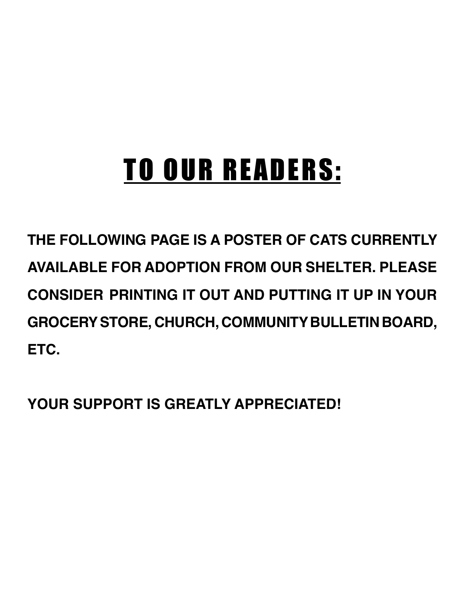# TO OUR READERS:

**THE FOLLOWING PAGE IS A POSTER OF CATS CURRENTLY AVAILABLE FOR ADOPTION FROM OUR SHELTER. PLEASE CONSIDER PRINTING IT OUT AND PUTTING IT UP IN YOUR GROCERY STORE, CHURCH, COMMUNITY BULLETIN BOARD, ETC.**

**YOUR SUPPORT IS GREATLY APPRECIATED!**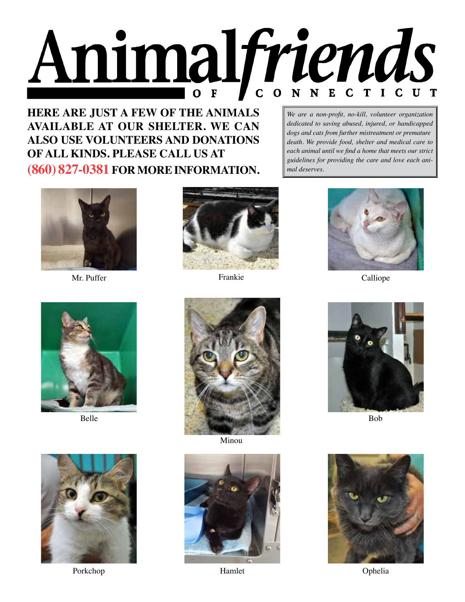

**HERE ARE JUST A FEW OF THE ANIMALS AVAILABLE AT OUR SHELTER. WE CAN ALSO USE VOLUNTEERS AND DONATIONS OF ALL KINDS. PLEASE CALL US AT (860) 827-0381 FOR MORE INFORMATION.**

*We are a non-profit, no-kill, volunteer organization dedicated to saving abused, injured, or handicapped dogs and cats from further mistreatment or premature death. We provide food, shelter and medical care to each animal until we find a home that meets our strict guidelines for providing the care and love each animal deserves.*



Mr. Puffer





Porkchop **Community Community Community Community Community Community Community Community Community Community Community Community Community Community Community Community Community Communit** 





Minou



Hamlet



Frankie Calliope



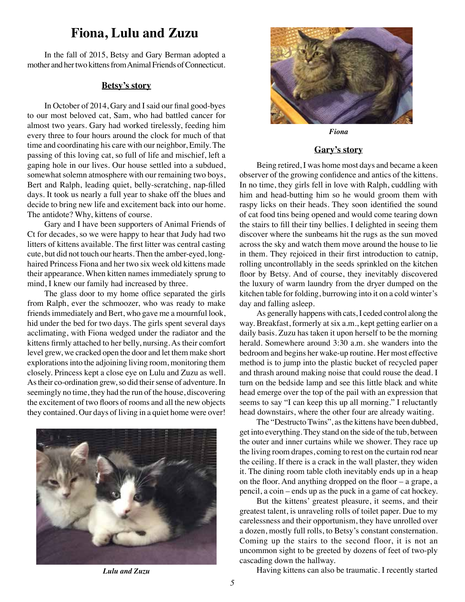#### **Fiona, Lulu and Zuzu**

In the fall of 2015, Betsy and Gary Berman adopted a mother and her two kittens from Animal Friends of Connecticut.

#### **Betsy's story**

In October of 2014, Gary and I said our final good-byes to our most beloved cat, Sam, who had battled cancer for almost two years. Gary had worked tirelessly, feeding him every three to four hours around the clock for much of that time and coordinating his care with our neighbor, Emily. The passing of this loving cat, so full of life and mischief, left a gaping hole in our lives. Our house settled into a subdued, somewhat solemn atmosphere with our remaining two boys, Bert and Ralph, leading quiet, belly-scratching, nap-filled days. It took us nearly a full year to shake off the blues and decide to bring new life and excitement back into our home. The antidote? Why, kittens of course.

Gary and I have been supporters of Animal Friends of Ct for decades, so we were happy to hear that Judy had two litters of kittens available. The first litter was central casting cute, but did not touch our hearts. Then the amber-eyed, longhaired Princess Fiona and her two six week old kittens made their appearance. When kitten names immediately sprung to mind, I knew our family had increased by three.

The glass door to my home office separated the girls from Ralph, ever the schmoozer, who was ready to make friends immediately and Bert, who gave me a mournful look, hid under the bed for two days. The girls spent several days acclimating, with Fiona wedged under the radiator and the kittens firmly attached to her belly, nursing. As their comfort level grew, we cracked open the door and let them make short explorations into the adjoining living room, monitoring them closely. Princess kept a close eye on Lulu and Zuzu as well. As their co-ordination grew, so did their sense of adventure. In seemingly no time, they had the run of the house, discovering the excitement of two floors of rooms and all the new objects they contained. Our days of living in a quiet home were over!





*Fiona*

#### **Gary's story**

Being retired, I was home most days and became a keen observer of the growing confidence and antics of the kittens. In no time, they girls fell in love with Ralph, cuddling with him and head-butting him so he would groom them with raspy licks on their heads. They soon identified the sound of cat food tins being opened and would come tearing down the stairs to fill their tiny bellies. I delighted in seeing them discover where the sunbeams hit the rugs as the sun moved across the sky and watch them move around the house to lie in them. They rejoiced in their first introduction to catnip, rolling uncontrollably in the seeds sprinkled on the kitchen floor by Betsy. And of course, they inevitably discovered the luxury of warm laundry from the dryer dumped on the kitchen table for folding, burrowing into it on a cold winter's day and falling asleep.

As generally happens with cats, I ceded control along the way. Breakfast, formerly at six a.m., kept getting earlier on a daily basis. Zuzu has taken it upon herself to be the morning herald. Somewhere around 3:30 a.m. she wanders into the bedroom and begins her wake-up routine. Her most effective method is to jump into the plastic bucket of recycled paper and thrash around making noise that could rouse the dead. I turn on the bedside lamp and see this little black and white head emerge over the top of the pail with an expression that seems to say "I can keep this up all morning." I reluctantly head downstairs, where the other four are already waiting.

The "Destructo Twins", as the kittens have been dubbed, get into everything. They stand on the side of the tub, between the outer and inner curtains while we shower. They race up the living room drapes, coming to rest on the curtain rod near the ceiling. If there is a crack in the wall plaster, they widen it. The dining room table cloth inevitably ends up in a heap on the floor. And anything dropped on the floor – a grape, a pencil, a coin – ends up as the puck in a game of cat hockey.

But the kittens' greatest pleasure, it seems, and their greatest talent, is unraveling rolls of toilet paper. Due to my carelessness and their opportunism, they have unrolled over a dozen, mostly full rolls, to Betsy's constant consternation. Coming up the stairs to the second floor, it is not an uncommon sight to be greeted by dozens of feet of two-ply cascading down the hallway.

*Lulu and Zuzu* **Having kittens can also be traumatic.** I recently started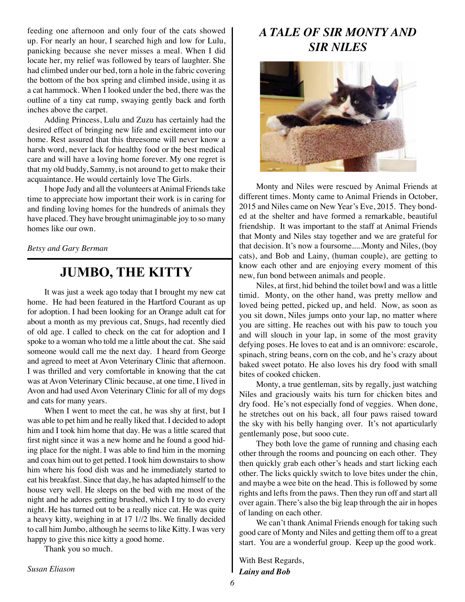feeding one afternoon and only four of the cats showed up. For nearly an hour, I searched high and low for Lulu, panicking because she never misses a meal. When I did locate her, my relief was followed by tears of laughter. She had climbed under our bed, torn a hole in the fabric covering the bottom of the box spring and climbed inside, using it as a cat hammock. When I looked under the bed, there was the outline of a tiny cat rump, swaying gently back and forth inches above the carpet.

Adding Princess, Lulu and Zuzu has certainly had the desired effect of bringing new life and excitement into our home. Rest assured that this threesome will never know a harsh word, never lack for healthy food or the best medical care and will have a loving home forever. My one regret is that my old buddy, Sammy, is not around to get to make their acquaintance. He would certainly love The Girls.

I hope Judy and all the volunteers at Animal Friends take time to appreciate how important their work is in caring for and finding loving homes for the hundreds of animals they have placed. They have brought unimaginable joy to so many homes like our own.

*Betsy and Gary Berman*

# **JUMBO, THE KITTY**

It was just a week ago today that I brought my new cat home. He had been featured in the Hartford Courant as up for adoption. I had been looking for an Orange adult cat for about a month as my previous cat, Snugs, had recently died of old age. I called to check on the cat for adoption and I spoke to a woman who told me a little about the cat. She said someone would call me the next day. I heard from George and agreed to meet at Avon Veterinary Clinic that afternoon. I was thrilled and very comfortable in knowing that the cat was at Avon Veterinary Clinic because, at one time, I lived in Avon and had used Avon Veterinary Clinic for all of my dogs and cats for many years.

When I went to meet the cat, he was shy at first, but I was able to pet him and he really liked that. I decided to adopt him and I took him home that day. He was a little scared that first night since it was a new home and he found a good hiding place for the night. I was able to find him in the morning and coax him out to get petted. I took him downstairs to show him where his food dish was and he immediately started to eat his breakfast. Since that day, he has adapted himself to the house very well. He sleeps on the bed with me most of the night and he adores getting brushed, which I try to do every night. He has turned out to be a really nice cat. He was quite a heavy kitty, weighing in at 17 1//2 lbs. We finally decided to call him Jumbo, although he seems to like Kitty. I was very happy to give this nice kitty a good home.

Thank you so much.

## *A TALE OF SIR MONTY AND SIR NILES*



Monty and Niles were rescued by Animal Friends at different times. Monty came to Animal Friends in October, 2015 and Niles came on New Year's Eve, 2015. They bonded at the shelter and have formed a remarkable, beautiful friendship. It was important to the staff at Animal Friends that Monty and Niles stay together and we are grateful for that decision. It's now a foursome.....Monty and Niles, (boy cats), and Bob and Lainy, (human couple), are getting to know each other and are enjoying every moment of this new, fun bond between animals and people.

Niles, at first, hid behind the toilet bowl and was a little timid. Monty, on the other hand, was pretty mellow and loved being petted, picked up, and held. Now, as soon as you sit down, Niles jumps onto your lap, no matter where you are sitting. He reaches out with his paw to touch you and will slouch in your lap, in some of the most gravity defying poses. He loves to eat and is an omnivore: escarole, spinach, string beans, corn on the cob, and he's crazy about baked sweet potato. He also loves his dry food with small bites of cooked chicken.

Monty, a true gentleman, sits by regally, just watching Niles and graciously waits his turn for chicken bites and dry food. He's not especially fond of veggies. When done, he stretches out on his back, all four paws raised toward the sky with his belly hanging over. It's not aparticularly gentlemanly pose, but sooo cute.

They both love the game of running and chasing each other through the rooms and pouncing on each other. They then quickly grab each other's heads and start licking each other. The licks quickly switch to love bites under the chin, and maybe a wee bite on the head. This is followed by some rights and lefts from the paws. Then they run off and start all over again. There's also the big leap through the air in hopes of landing on each other.

We can't thank Animal Friends enough for taking such good care of Monty and Niles and getting them off to a great start. You are a wonderful group. Keep up the good work.

With Best Regards, *Lainy and Bob*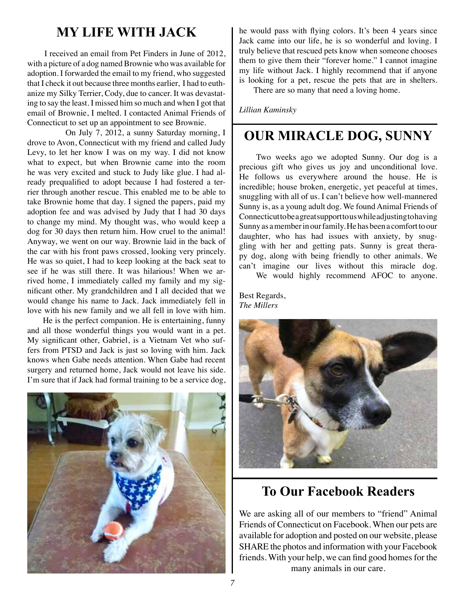## **MY LIFE WITH JACK**

I received an email from Pet Finders in June of 2012, with a picture of a dog named Brownie who was available for adoption. I forwarded the email to my friend, who suggested that I check it out because three months earlier, I had to euthanize my Silky Terrier, Cody, due to cancer. It was devastating to say the least. I missed him so much and when I got that email of Brownie, I melted. I contacted Animal Friends of Connecticut to set up an appointment to see Brownie.

 On July 7, 2012, a sunny Saturday morning, I drove to Avon, Connecticut with my friend and called Judy Levy, to let her know I was on my way. I did not know what to expect, but when Brownie came into the room he was very excited and stuck to Judy like glue. I had already prequalified to adopt because I had fostered a terrier through another rescue. This enabled me to be able to take Brownie home that day. I signed the papers, paid my adoption fee and was advised by Judy that I had 30 days to change my mind. My thought was, who would keep a dog for 30 days then return him. How cruel to the animal! Anyway, we went on our way. Brownie laid in the back of the car with his front paws crossed, looking very princely. He was so quiet, I had to keep looking at the back seat to see if he was still there. It was hilarious! When we arrived home, I immediately called my family and my significant other. My grandchildren and I all decided that we would change his name to Jack. Jack immediately fell in love with his new family and we all fell in love with him.

 He is the perfect companion. He is entertaining, funny and all those wonderful things you would want in a pet. My significant other, Gabriel, is a Vietnam Vet who suffers from PTSD and Jack is just so loving with him. Jack knows when Gabe needs attention. When Gabe had recent surgery and returned home, Jack would not leave his side. I'm sure that if Jack had formal training to be a service dog,



he would pass with flying colors. It's been 4 years since Jack came into our life, he is so wonderful and loving. I truly believe that rescued pets know when someone chooses them to give them their "forever home." I cannot imagine my life without Jack. I highly recommend that if anyone is looking for a pet, rescue the pets that are in shelters.

There are so many that need a loving home.

*Lillian Kaminsky*

# **OUR MIRACLE DOG, SUNNY**

Two weeks ago we adopted Sunny. Our dog is a precious gift who gives us joy and unconditional love. He follows us everywhere around the house. He is incredible; house broken, energetic, yet peaceful at times, snuggling with all of us. I can't believe how well-mannered Sunny is, as a young adult dog. We found Animal Friends of Connecticut to be a great support to us while adjusting to having Sunny as a member in our family. He has been a comfort to our daughter, who has had issues with anxiety, by snuggling with her and getting pats. Sunny is great therapy dog, along with being friendly to other animals. We can't imagine our lives without this miracle dog. We would highly recommend AFOC to anyone.

Best Regards, *The Millers*



## **To Our Facebook Readers**

We are asking all of our members to "friend" Animal Friends of Connecticut on Facebook. When our pets are available for adoption and posted on our website, please SHARE the photos and information with your Facebook friends. With your help, we can find good homes for the many animals in our care.